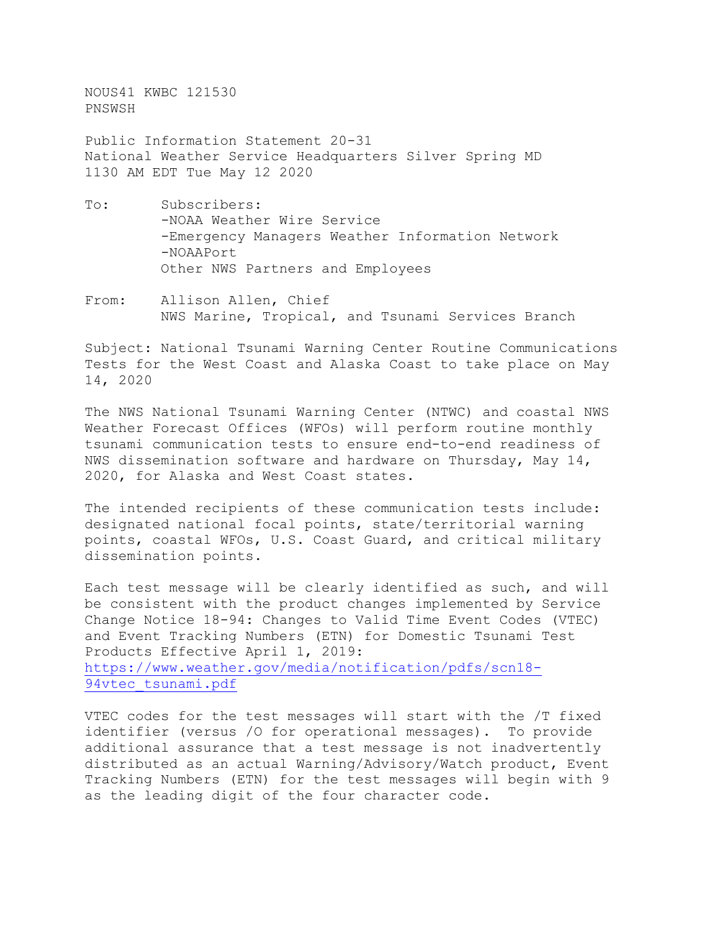NOUS41 KWBC 121530 PNSWSH

Public Information Statement 20-31 National Weather Service Headquarters Silver Spring MD 1130 AM EDT Tue May 12 2020

- To: Subscribers: -NOAA Weather Wire Service -Emergency Managers Weather Information Network -NOAAPort Other NWS Partners and Employees
- From: Allison Allen, Chief NWS Marine, Tropical, and Tsunami Services Branch

Subject: National Tsunami Warning Center Routine Communications Tests for the West Coast and Alaska Coast to take place on May 14, 2020

The NWS National Tsunami Warning Center (NTWC) and coastal NWS Weather Forecast Offices (WFOs) will perform routine monthly tsunami communication tests to ensure end-to-end readiness of NWS dissemination software and hardware on Thursday, May 14, 2020, for Alaska and West Coast states.

The intended recipients of these communication tests include: designated national focal points, state/territorial warning points, coastal WFOs, U.S. Coast Guard, and critical military dissemination points.

Each test message will be clearly identified as such, and will be consistent with the product changes implemented by Service Change Notice 18-94: Changes to Valid Time Event Codes (VTEC) and Event Tracking Numbers (ETN) for Domestic Tsunami Test Products Effective April 1, 2019: [https://www.weather.gov/media/notification/pdfs/scn18-](https://www.weather.gov/media/notification/pdfs/scn18-94vtec_tsunami.pdf) [94vtec\\_tsunami.pdf](https://www.weather.gov/media/notification/pdfs/scn18-94vtec_tsunami.pdf)

VTEC codes for the test messages will start with the /T fixed identifier (versus /O for operational messages). To provide additional assurance that a test message is not inadvertently distributed as an actual Warning/Advisory/Watch product, Event Tracking Numbers (ETN) for the test messages will begin with 9 as the leading digit of the four character code.